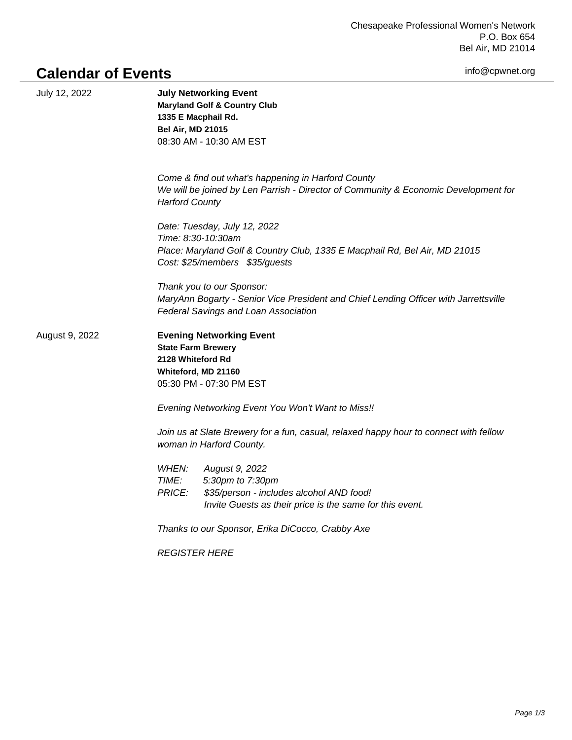Chesapeake Professional Women's Network P.O. Box 654 Bel Air, MD 21014

info@cpwnet.org

## **Calendar of Events**

| July 12, 2022  | <b>July Networking Event</b><br><b>Maryland Golf &amp; Country Club</b><br>1335 E Macphail Rd.<br><b>Bel Air, MD 21015</b><br>08:30 AM - 10:30 AM EST                                |
|----------------|--------------------------------------------------------------------------------------------------------------------------------------------------------------------------------------|
|                | Come & find out what's happening in Harford County<br>We will be joined by Len Parrish - Director of Community & Economic Development for<br><b>Harford County</b>                   |
|                | Date: Tuesday, July 12, 2022<br>Time: 8:30-10:30am<br>Place: Maryland Golf & Country Club, 1335 E Macphail Rd, Bel Air, MD 21015<br>Cost: \$25/members \$35/guests                   |
|                | Thank you to our Sponsor:<br>MaryAnn Bogarty - Senior Vice President and Chief Lending Officer with Jarrettsville<br>Federal Savings and Loan Association                            |
| August 9, 2022 | <b>Evening Networking Event</b><br><b>State Farm Brewery</b><br>2128 Whiteford Rd<br>Whiteford, MD 21160<br>05:30 PM - 07:30 PM EST                                                  |
|                | Evening Networking Event You Won't Want to Miss!!                                                                                                                                    |
|                | Join us at Slate Brewery for a fun, casual, relaxed happy hour to connect with fellow<br>woman in Harford County.                                                                    |
|                | WHEN:<br>August 9, 2022<br><b>TIME:</b><br>5:30pm to 7:30pm<br><b>PRICE:</b><br>\$35/person - includes alcohol AND food!<br>Invite Guests as their price is the same for this event. |
|                | Thanks to our Sponsor, Erika DiCocco, Crabby Axe                                                                                                                                     |
|                | <b>REGISTER HERE</b>                                                                                                                                                                 |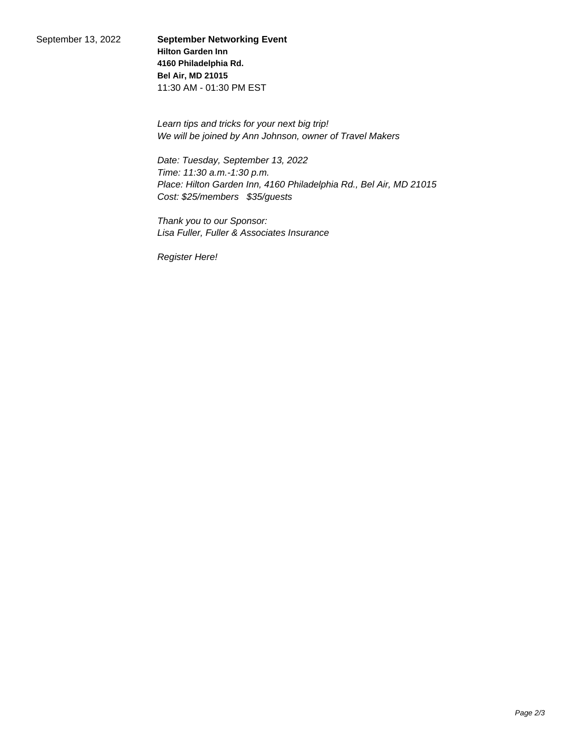September 13, 2022 **September Networking Event Hilton Garden Inn 4160 Philadelphia Rd. Bel Air, MD 21015** 11:30 AM - 01:30 PM EST

> Learn tips and tricks for your next big trip! We will be joined by Ann Johnson, owner of Travel Makers

Date: Tuesday, September 13, 2022 Time: 11:30 a.m.-1:30 p.m. Place: Hilton Garden Inn, 4160 Philadelphia Rd., Bel Air, MD 21015 Cost: \$25/members \$35/guests

Thank you to our Sponsor: Lisa Fuller, Fuller & Associates Insurance

Register Here!